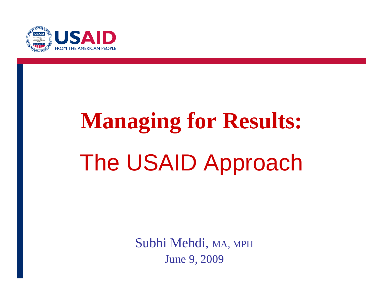

# **Managing for Results:** The USAID Approach

Subhi Mehdi, MA, MPH June 9, 2009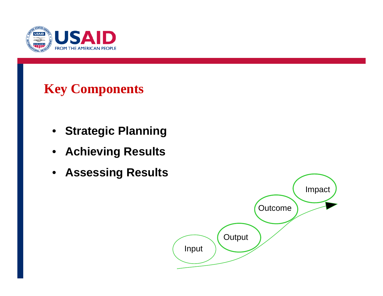

### **Key Components**

- **Strategic Planning**
- **Achieving Results**
- **Assessing Results**

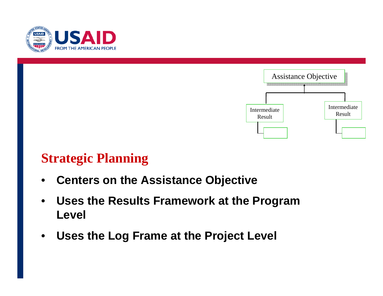



#### **Strategic Planning**

- **Centers on the Assistance Objective**
- **Uses the Results Framework at the Program Level**
- **Uses the Log Frame at the Project Level**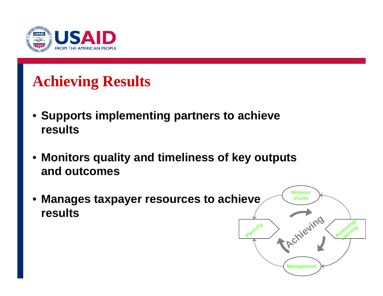

# **Achieving Results**

- **Supports implementing partners to achieve results**
- **Monitors quality and timeliness of key outputs and outcomes**
- **Manages taxpayer resources to achieve results Mission/ Vision Managemen Planning Achieving Assessing**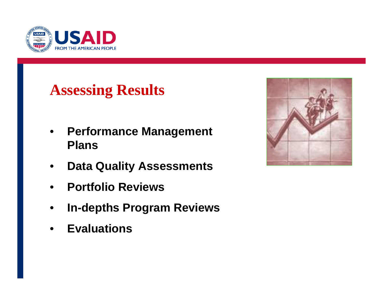

## **Assessing Results**

- • **Performance Management Plans**
- •**Data Quality Assessments**
- •**Portfolio Reviews**
- •**In-depths Program Reviews**
- •**Evaluations**

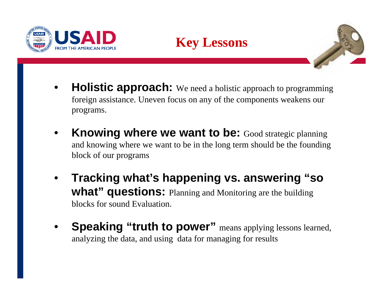





- •**Holistic approach:** We need a holistic approach to programming foreign assistance. Uneven focus on any of the components weakens our programs.
- •**Knowing where we want to be:** Good strategic planning and knowing where we want to be in the long term should be the founding block of our programs
- • **Tracking what's happening vs. answering "so what" questions:** Planning and Monitoring are the building blocks for sound Evaluation.
- • **Speaking "truth to power"** means applying lessons learned, analyzing the data, and using data for managing for results